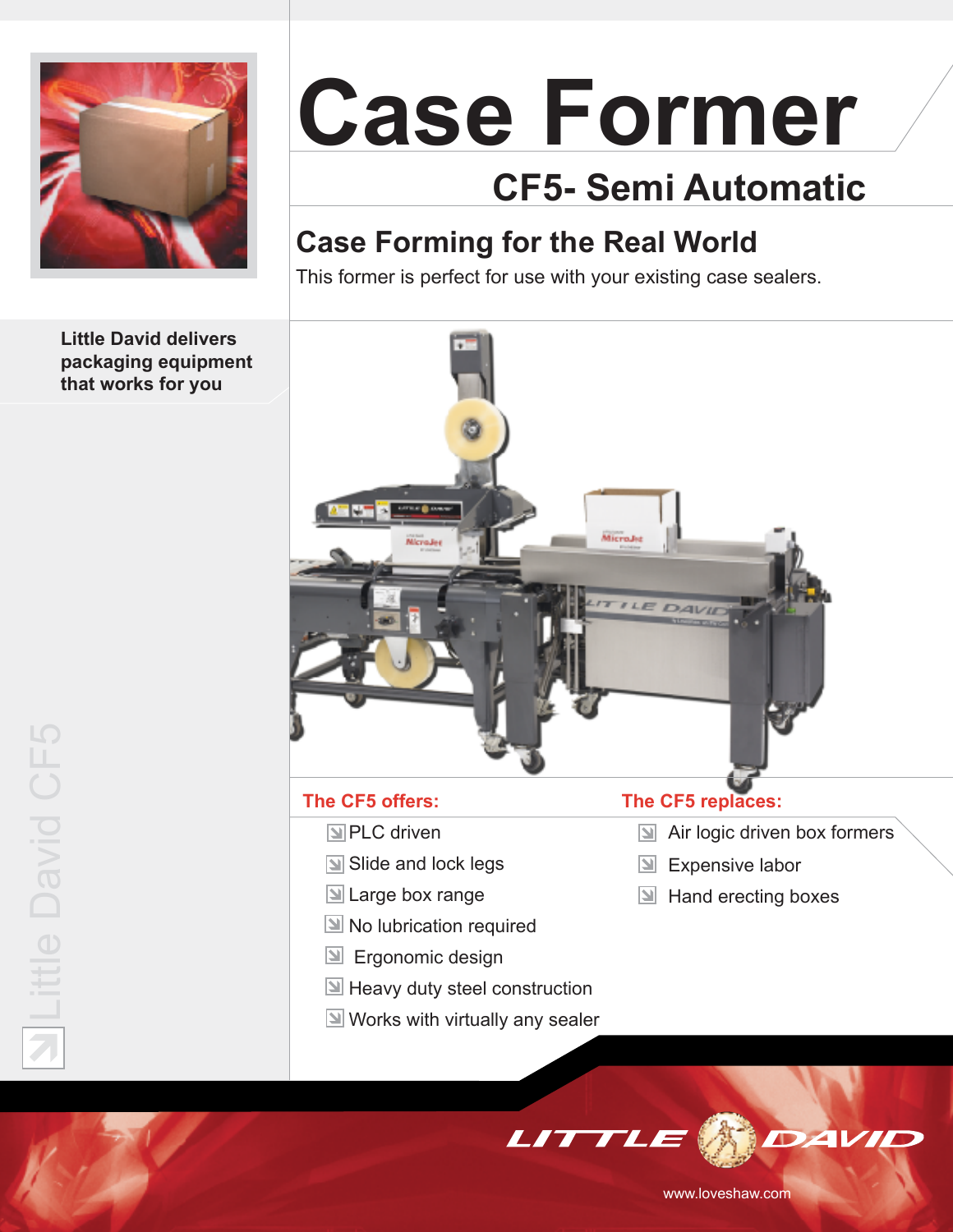

# **Case Former**

### **CF5- Semi Automatic**

#### **Case Forming for the Real World**

This former is perfect for use with your existing case sealers.



**Little David delivers packaging equipment that works for you**

www.loveshaw.com